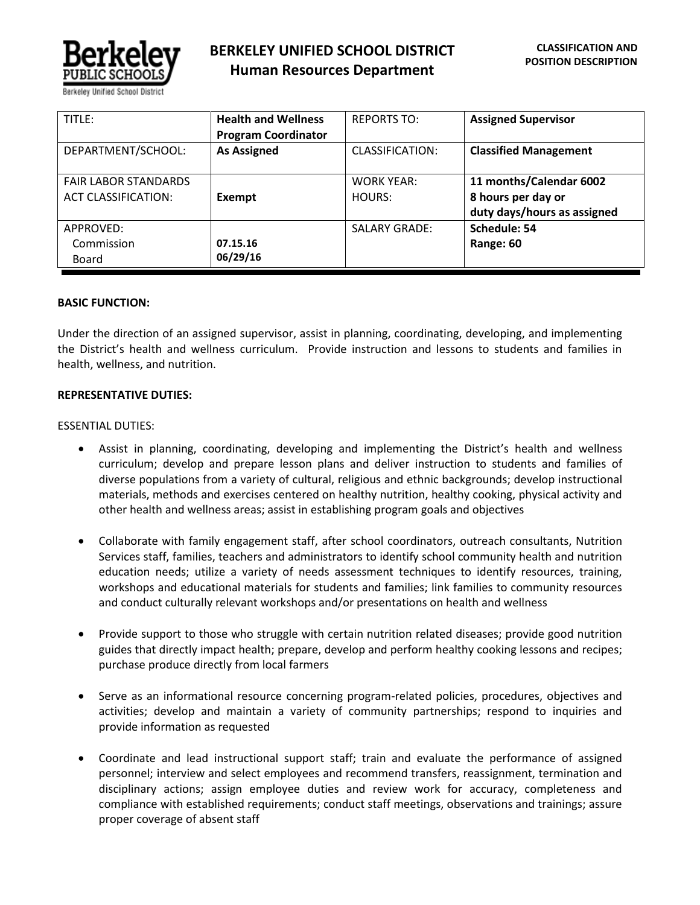

| TITLE:                      | <b>Health and Wellness</b> | <b>REPORTS TO:</b>   | <b>Assigned Supervisor</b>   |
|-----------------------------|----------------------------|----------------------|------------------------------|
|                             | <b>Program Coordinator</b> |                      |                              |
| DEPARTMENT/SCHOOL:          | <b>As Assigned</b>         | CLASSIFICATION:      | <b>Classified Management</b> |
| <b>FAIR LABOR STANDARDS</b> |                            | <b>WORK YEAR:</b>    | 11 months/Calendar 6002      |
| <b>ACT CLASSIFICATION:</b>  | Exempt                     | HOURS:               | 8 hours per day or           |
|                             |                            |                      | duty days/hours as assigned  |
| APPROVED:                   |                            | <b>SALARY GRADE:</b> | Schedule: 54                 |
| Commission                  | 07.15.16                   |                      | Range: 60                    |
| Board                       | 06/29/16                   |                      |                              |

### **BASIC FUNCTION:**

Under the direction of an assigned supervisor, assist in planning, coordinating, developing, and implementing the District's health and wellness curriculum. Provide instruction and lessons to students and families in health, wellness, and nutrition.

### **REPRESENTATIVE DUTIES:**

### ESSENTIAL DUTIES:

- Assist in planning, coordinating, developing and implementing the District's health and wellness curriculum; develop and prepare lesson plans and deliver instruction to students and families of diverse populations from a variety of cultural, religious and ethnic backgrounds; develop instructional materials, methods and exercises centered on healthy nutrition, healthy cooking, physical activity and other health and wellness areas; assist in establishing program goals and objectives
- Collaborate with family engagement staff, after school coordinators, outreach consultants, Nutrition Services staff, families, teachers and administrators to identify school community health and nutrition education needs; utilize a variety of needs assessment techniques to identify resources, training, workshops and educational materials for students and families; link families to community resources and conduct culturally relevant workshops and/or presentations on health and wellness
- Provide support to those who struggle with certain nutrition related diseases; provide good nutrition guides that directly impact health; prepare, develop and perform healthy cooking lessons and recipes; purchase produce directly from local farmers
- Serve as an informational resource concerning program-related policies, procedures, objectives and activities; develop and maintain a variety of community partnerships; respond to inquiries and provide information as requested
- Coordinate and lead instructional support staff; train and evaluate the performance of assigned personnel; interview and select employees and recommend transfers, reassignment, termination and disciplinary actions; assign employee duties and review work for accuracy, completeness and compliance with established requirements; conduct staff meetings, observations and trainings; assure proper coverage of absent staff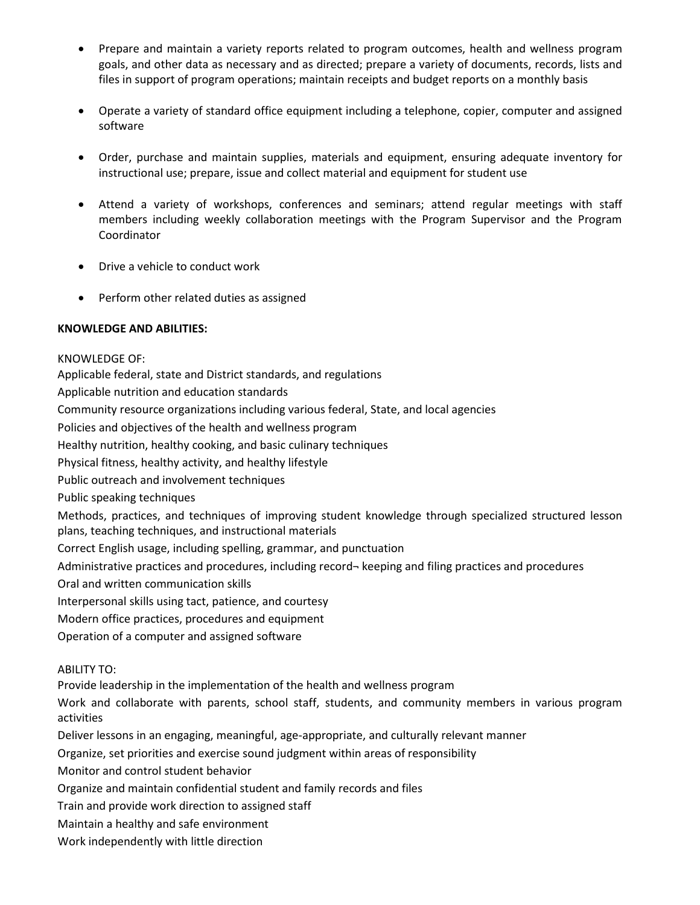- Prepare and maintain a variety reports related to program outcomes, health and wellness program goals, and other data as necessary and as directed; prepare a variety of documents, records, lists and files in support of program operations; maintain receipts and budget reports on a monthly basis
- Operate a variety of standard office equipment including a telephone, copier, computer and assigned software
- Order, purchase and maintain supplies, materials and equipment, ensuring adequate inventory for instructional use; prepare, issue and collect material and equipment for student use
- Attend a variety of workshops, conferences and seminars; attend regular meetings with staff members including weekly collaboration meetings with the Program Supervisor and the Program Coordinator
- Drive a vehicle to conduct work
- Perform other related duties as assigned

# **KNOWLEDGE AND ABILITIES:**

KNOWLEDGE OF: Applicable federal, state and District standards, and regulations Applicable nutrition and education standards Community resource organizations including various federal, State, and local agencies Policies and objectives of the health and wellness program Healthy nutrition, healthy cooking, and basic culinary techniques Physical fitness, healthy activity, and healthy lifestyle Public outreach and involvement techniques Public speaking techniques Methods, practices, and techniques of improving student knowledge through specialized structured lesson plans, teaching techniques, and instructional materials Correct English usage, including spelling, grammar, and punctuation Administrative practices and procedures, including record¬ keeping and filing practices and procedures Oral and written communication skills Interpersonal skills using tact, patience, and courtesy Modern office practices, procedures and equipment Operation of a computer and assigned software ABILITY TO: Provide leadership in the implementation of the health and wellness program Work and collaborate with parents, school staff, students, and community members in various program activities Deliver lessons in an engaging, meaningful, age-appropriate, and culturally relevant manner Organize, set priorities and exercise sound judgment within areas of responsibility Monitor and control student behavior Organize and maintain confidential student and family records and files Train and provide work direction to assigned staff Maintain a healthy and safe environment

Work independently with little direction